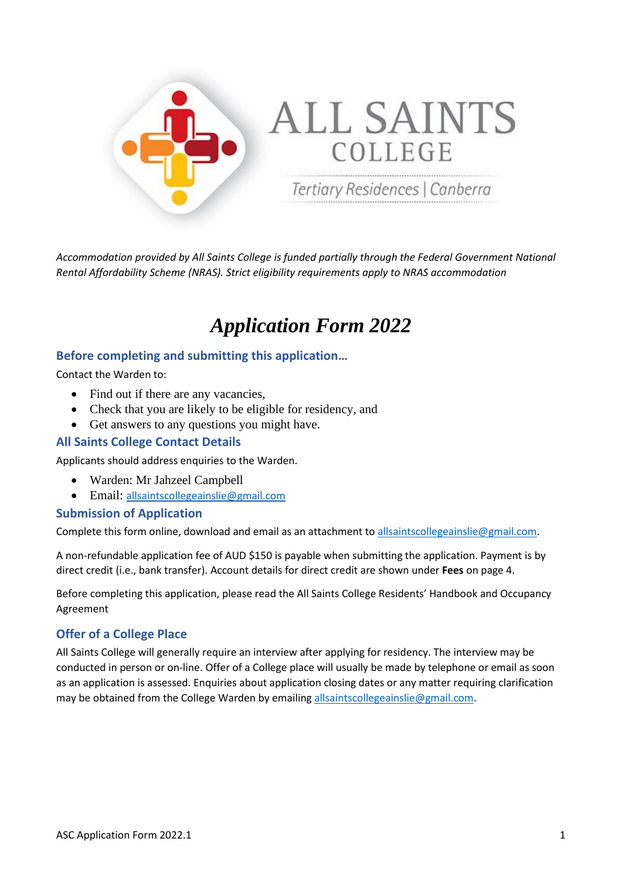

*Accommodation provided by All Saints College is funded partially through the Federal Government National Rental Affordability Scheme (NRAS). Strict eligibility requirements apply to NRAS accommodation*

# *Application Form 2022*

### **Before completing and submitting this application…**

Contact the Warden to:

- Find out if there are any vacancies,
- Check that you are likely to be eligible for residency, and
- Get answers to any questions you might have.

### **All Saints College Contact Details**

Applicants should address enquiries to the Warden.

- Warden: Mr Jahzeel Campbell
- Email: [allsaintscollegeainslie@gmail.com](mailto:allsaintscollegeainslie@gmail.com)

#### **Submission of Application**

Complete this form online, download and email as an attachment t[o allsaintscollegeainslie@gmail.com.](mailto:allsaintscollegeainslie@gmail.com)

A non-refundable application fee of AUD \$150 is payable when submitting the application. Payment is by direct credit (i.e., bank transfer). Account details for direct credit are shown under **Fees** on page 4.

Before completing this application, please read the All Saints College Residents' Handbook and Occupancy Agreement

### **Offer of a College Place**

All Saints College will generally require an interview after applying for residency. The interview may be conducted in person or on-line. Offer of a College place will usually be made by telephone or email as soon as an application is assessed. Enquiries about application closing dates or any matter requiring clarification may be obtained from the College Warden by emailing [allsaintscollegeainslie@gmail.com.](mailto:allsaintscollegeainslie@gmail.com)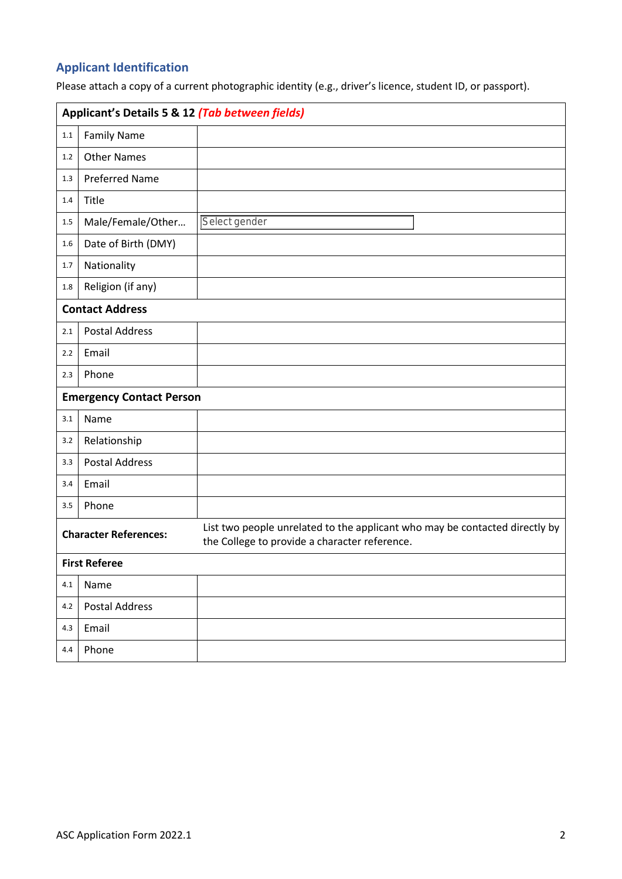# **Applicant Identification**

Please attach a copy of a current photographic identity (e.g., driver's licence, student ID, or passport).

| Applicant's Details 5 & 12 (Tab between fields) |                       |                                                                                                                              |  |  |  |
|-------------------------------------------------|-----------------------|------------------------------------------------------------------------------------------------------------------------------|--|--|--|
| $1.1\,$                                         | <b>Family Name</b>    |                                                                                                                              |  |  |  |
| 1.2                                             | <b>Other Names</b>    |                                                                                                                              |  |  |  |
| 1.3                                             | <b>Preferred Name</b> |                                                                                                                              |  |  |  |
| 1.4                                             | Title                 |                                                                                                                              |  |  |  |
| $1.5\,$                                         | Male/Female/Other     | Select gender                                                                                                                |  |  |  |
| $1.6\,$                                         | Date of Birth (DMY)   |                                                                                                                              |  |  |  |
| 1.7                                             | Nationality           |                                                                                                                              |  |  |  |
| $1.8\,$                                         | Religion (if any)     |                                                                                                                              |  |  |  |
| <b>Contact Address</b>                          |                       |                                                                                                                              |  |  |  |
| 2.1                                             | <b>Postal Address</b> |                                                                                                                              |  |  |  |
| 2.2                                             | Email                 |                                                                                                                              |  |  |  |
| 2.3                                             | Phone                 |                                                                                                                              |  |  |  |
| <b>Emergency Contact Person</b>                 |                       |                                                                                                                              |  |  |  |
| 3.1                                             | Name                  |                                                                                                                              |  |  |  |
| 3.2                                             | Relationship          |                                                                                                                              |  |  |  |
| 3.3                                             | <b>Postal Address</b> |                                                                                                                              |  |  |  |
| 3.4                                             | Email                 |                                                                                                                              |  |  |  |
| 3.5                                             | Phone                 |                                                                                                                              |  |  |  |
| <b>Character References:</b>                    |                       | List two people unrelated to the applicant who may be contacted directly by<br>the College to provide a character reference. |  |  |  |
| <b>First Referee</b>                            |                       |                                                                                                                              |  |  |  |
| 4.1                                             | Name                  |                                                                                                                              |  |  |  |
| 4.2                                             | <b>Postal Address</b> |                                                                                                                              |  |  |  |
| 4.3                                             | Email                 |                                                                                                                              |  |  |  |
| 4.4                                             | Phone                 |                                                                                                                              |  |  |  |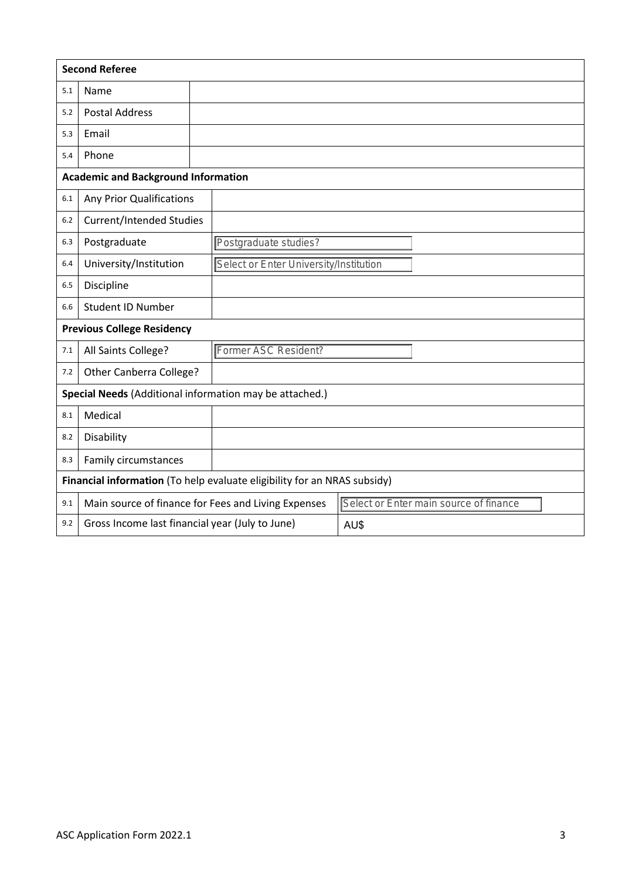| <b>Second Referee</b>                                                    |                                                 |                                                                                               |  |  |  |
|--------------------------------------------------------------------------|-------------------------------------------------|-----------------------------------------------------------------------------------------------|--|--|--|
| 5.1                                                                      | Name                                            |                                                                                               |  |  |  |
| 5.2                                                                      | <b>Postal Address</b>                           |                                                                                               |  |  |  |
| 5.3                                                                      | Email                                           |                                                                                               |  |  |  |
| 5.4                                                                      | Phone                                           |                                                                                               |  |  |  |
| <b>Academic and Background Information</b>                               |                                                 |                                                                                               |  |  |  |
| 6.1                                                                      | <b>Any Prior Qualifications</b>                 |                                                                                               |  |  |  |
| 6.2                                                                      | <b>Current/Intended Studies</b>                 |                                                                                               |  |  |  |
| 6.3                                                                      | Postgraduate                                    | Postgraduate studies?                                                                         |  |  |  |
| 6.4                                                                      | University/Institution                          | Select or Enter University/Institution                                                        |  |  |  |
| 6.5                                                                      | Discipline                                      |                                                                                               |  |  |  |
| 6.6                                                                      | <b>Student ID Number</b>                        |                                                                                               |  |  |  |
| <b>Previous College Residency</b>                                        |                                                 |                                                                                               |  |  |  |
| 7.1                                                                      | All Saints College?                             | Former ASC Resident?                                                                          |  |  |  |
| 7.2                                                                      | Other Canberra College?                         |                                                                                               |  |  |  |
|                                                                          |                                                 | Special Needs (Additional information may be attached.)                                       |  |  |  |
| 8.1                                                                      | Medical                                         |                                                                                               |  |  |  |
| 8.2                                                                      | Disability                                      |                                                                                               |  |  |  |
| 8.3                                                                      | Family circumstances                            |                                                                                               |  |  |  |
| Financial information (To help evaluate eligibility for an NRAS subsidy) |                                                 |                                                                                               |  |  |  |
| 9.1                                                                      |                                                 | Main source of finance for Fees and Living Expenses<br>Select or Enter main source of finance |  |  |  |
| 9.2                                                                      | Gross Income last financial year (July to June) | AU\$                                                                                          |  |  |  |